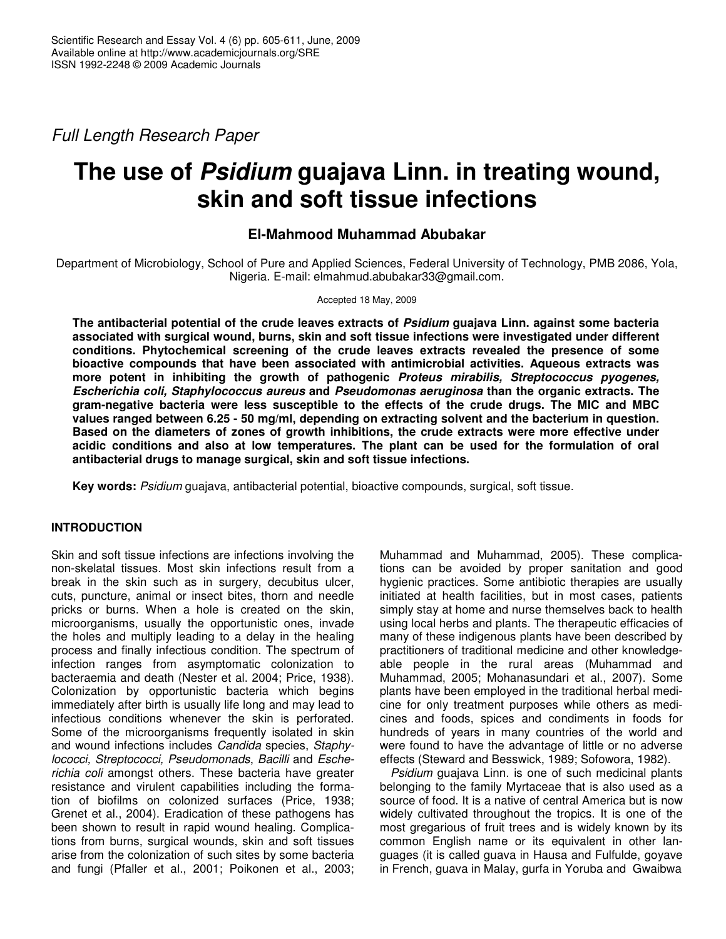*Full Length Research Paper*

# **The use of** *Psidium* **guajava Linn. in treating wound, skin and soft tissue infections**

# **El-Mahmood Muhammad Abubakar**

Department of Microbiology, School of Pure and Applied Sciences, Federal University of Technology, PMB 2086, Yola, Nigeria. E-mail: elmahmud.abubakar33@gmail.com.

## Accepted 18 May, 2009

**The antibacterial potential of the crude leaves extracts of** *Psidium* **guajava Linn. against some bacteria associated with surgical wound, burns, skin and soft tissue infections were investigated under different conditions. Phytochemical screening of the crude leaves extracts revealed the presence of some bioactive compounds that have been associated with antimicrobial activities. Aqueous extracts was more potent in inhibiting the growth of pathogenic** *Proteus mirabilis, Streptococcus pyogenes, Escherichia coli, Staphylococcus aureus* **and** *Pseudomonas aeruginosa* **than the organic extracts. The gram-negative bacteria were less susceptible to the effects of the crude drugs. The MIC and MBC values ranged between 6.25 - 50 mg/ml, depending on extracting solvent and the bacterium in question. Based on the diameters of zones of growth inhibitions, the crude extracts were more effective under acidic conditions and also at low temperatures. The plant can be used for the formulation of oral antibacterial drugs to manage surgical, skin and soft tissue infections.**

**Key words:** *Psidium* guajava, antibacterial potential, bioactive compounds, surgical, soft tissue.

# **INTRODUCTION**

Skin and soft tissue infections are infections involving the non-skelatal tissues. Most skin infections result from a break in the skin such as in surgery, decubitus ulcer, cuts, puncture, animal or insect bites, thorn and needle pricks or burns. When a hole is created on the skin, microorganisms, usually the opportunistic ones, invade the holes and multiply leading to a delay in the healing process and finally infectious condition. The spectrum of infection ranges from asymptomatic colonization to bacteraemia and death (Nester et al. 2004; Price, 1938). Colonization by opportunistic bacteria which begins immediately after birth is usually life long and may lead to infectious conditions whenever the skin is perforated. Some of the microorganisms frequently isolated in skin and wound infections includes *Candida* species, *Staphylococci, Streptococci, Pseudomonads*, *Bacilli* and *Escherichia coli* amongst others. These bacteria have greater resistance and virulent capabilities including the formation of biofilms on colonized surfaces (Price, 1938; Grenet et al., 2004). Eradication of these pathogens has been shown to result in rapid wound healing. Complications from burns, surgical wounds, skin and soft tissues arise from the colonization of such sites by some bacteria and fungi (Pfaller et al., 2001; Poikonen et al., 2003;

Muhammad and Muhammad, 2005). These complications can be avoided by proper sanitation and good hygienic practices. Some antibiotic therapies are usually initiated at health facilities, but in most cases, patients simply stay at home and nurse themselves back to health using local herbs and plants. The therapeutic efficacies of many of these indigenous plants have been described by practitioners of traditional medicine and other knowledgeable people in the rural areas (Muhammad and Muhammad, 2005; Mohanasundari et al., 2007). Some plants have been employed in the traditional herbal medicine for only treatment purposes while others as medicines and foods, spices and condiments in foods for hundreds of years in many countries of the world and were found to have the advantage of little or no adverse effects (Steward and Besswick, 1989; Sofowora, 1982).

*Psidium* guajava Linn. is one of such medicinal plants belonging to the family Myrtaceae that is also used as a source of food. It is a native of central America but is now widely cultivated throughout the tropics. It is one of the most gregarious of fruit trees and is widely known by its common English name or its equivalent in other languages (it is called guava in Hausa and Fulfulde, goyave in French, guava in Malay, gurfa in Yoruba and Gwaibwa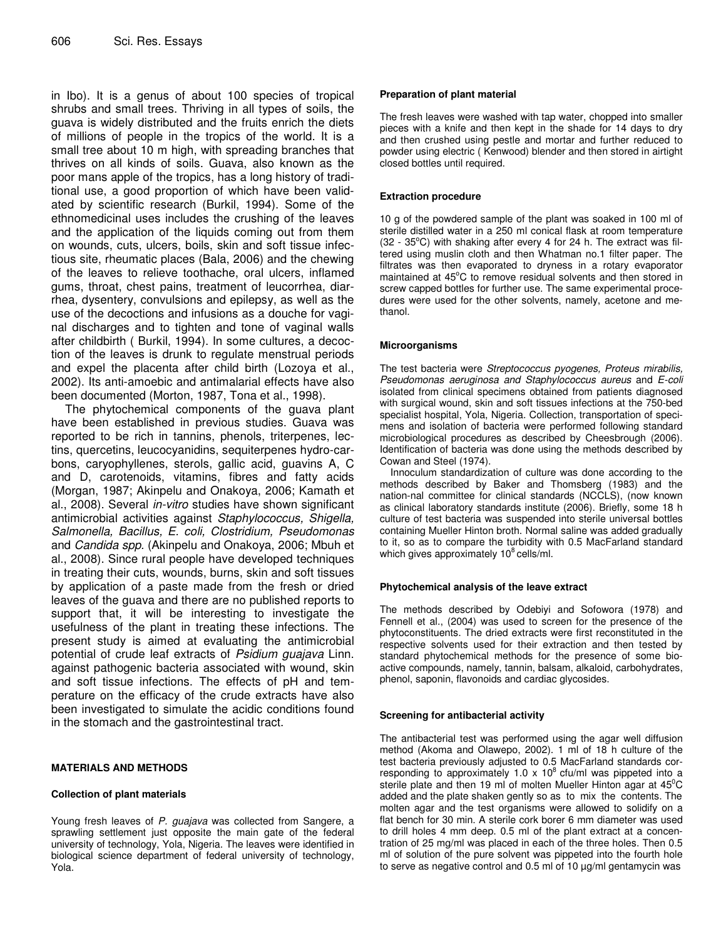in Ibo). It is a genus of about 100 species of tropical shrubs and small trees. Thriving in all types of soils, the guava is widely distributed and the fruits enrich the diets of millions of people in the tropics of the world. It is a small tree about 10 m high, with spreading branches that thrives on all kinds of soils. Guava, also known as the poor mans apple of the tropics, has a long history of traditional use, a good proportion of which have been validated by scientific research (Burkil, 1994). Some of the ethnomedicinal uses includes the crushing of the leaves and the application of the liquids coming out from them on wounds, cuts, ulcers, boils, skin and soft tissue infectious site, rheumatic places (Bala, 2006) and the chewing of the leaves to relieve toothache, oral ulcers, inflamed gums, throat, chest pains, treatment of leucorrhea, diarrhea, dysentery, convulsions and epilepsy, as well as the use of the decoctions and infusions as a douche for vaginal discharges and to tighten and tone of vaginal walls after childbirth ( Burkil, 1994). In some cultures, a decoction of the leaves is drunk to regulate menstrual periods and expel the placenta after child birth (Lozoya et al., 2002). Its anti-amoebic and antimalarial effects have also been documented (Morton, 1987, Tona et al., 1998).

The phytochemical components of the guava plant have been established in previous studies. Guava was reported to be rich in tannins, phenols, triterpenes, lectins, quercetins, leucocyanidins, sequiterpenes hydro-carbons, caryophyllenes, sterols, gallic acid, guavins A, C and D, carotenoids, vitamins, fibres and fatty acids (Morgan, 1987; Akinpelu and Onakoya, 2006; Kamath et al., 2008). Several *in-vitro* studies have shown significant antimicrobial activities against *Staphylococcus, Shigella, Salmonella, Bacillus, E. coli, Clostridium, Pseudomonas* and *Candida spp.* (Akinpelu and Onakoya, 2006; Mbuh et al., 2008). Since rural people have developed techniques in treating their cuts, wounds, burns, skin and soft tissues by application of a paste made from the fresh or dried leaves of the guava and there are no published reports to support that, it will be interesting to investigate the usefulness of the plant in treating these infections. The present study is aimed at evaluating the antimicrobial potential of crude leaf extracts of *Psidium guajava* Linn. against pathogenic bacteria associated with wound, skin and soft tissue infections. The effects of pH and temperature on the efficacy of the crude extracts have also been investigated to simulate the acidic conditions found in the stomach and the gastrointestinal tract.

# **MATERIALS AND METHODS**

## **Collection of plant materials**

Young fresh leaves of *P. guajava* was collected from Sangere, a sprawling settlement just opposite the main gate of the federal university of technology, Yola, Nigeria. The leaves were identified in biological science department of federal university of technology, Yola.

## **Preparation of plant material**

The fresh leaves were washed with tap water, chopped into smaller pieces with a knife and then kept in the shade for 14 days to dry and then crushed using pestle and mortar and further reduced to powder using electric ( Kenwood) blender and then stored in airtight closed bottles until required.

## **Extraction procedure**

10 g of the powdered sample of the plant was soaked in 100 ml of sterile distilled water in a 250 ml conical flask at room temperature (32 - 35°C) with shaking after every 4 for 24 h. The extract was filtered using muslin cloth and then Whatman no.1 filter paper. The filtrates was then evaporated to dryness in a rotary evaporator maintained at 45°C to remove residual solvents and then stored in screw capped bottles for further use. The same experimental procedures were used for the other solvents, namely, acetone and methanol.

## **Microorganisms**

The test bacteria were *Streptococcus pyogenes, Proteus mirabilis, Pseudomonas aeruginosa and Staphylococcus aureus* and *E-coli* isolated from clinical specimens obtained from patients diagnosed with surgical wound, skin and soft tissues infections at the 750-bed specialist hospital, Yola, Nigeria. Collection, transportation of specimens and isolation of bacteria were performed following standard microbiological procedures as described by Cheesbrough (2006). Identification of bacteria was done using the methods described by Cowan and Steel (1974).

Innoculum standardization of culture was done according to the methods described by Baker and Thomsberg (1983) and the nation-nal committee for clinical standards (NCCLS), (now known as clinical laboratory standards institute (2006). Briefly, some 18 h culture of test bacteria was suspended into sterile universal bottles containing Mueller Hinton broth. Normal saline was added gradually to it, so as to compare the turbidity with 0.5 MacFarland standard which gives approximately 10<sup>8</sup> cells/ml.

## **Phytochemical analysis of the leave extract**

The methods described by Odebiyi and Sofowora (1978) and Fennell et al., (2004) was used to screen for the presence of the phytoconstituents. The dried extracts were first reconstituted in the respective solvents used for their extraction and then tested by standard phytochemical methods for the presence of some bioactive compounds, namely, tannin, balsam, alkaloid, carbohydrates, phenol, saponin, flavonoids and cardiac glycosides.

## **Screening for antibacterial activity**

The antibacterial test was performed using the agar well diffusion method (Akoma and Olawepo, 2002). 1 ml of 18 h culture of the test bacteria previously adjusted to 0.5 MacFarland standards corresponding to approximately 1.0 x 10 $8$  cfu/ml was pippeted into a sterile plate and then 19 ml of molten Mueller Hinton agar at 45<sup>o</sup>C added and the plate shaken gently so as to mix the contents. The molten agar and the test organisms were allowed to solidify on a flat bench for 30 min. A sterile cork borer 6 mm diameter was used to drill holes 4 mm deep. 0.5 ml of the plant extract at a concentration of 25 mg/ml was placed in each of the three holes. Then 0.5 ml of solution of the pure solvent was pippeted into the fourth hole to serve as negative control and 0.5 ml of 10 µg/ml gentamycin was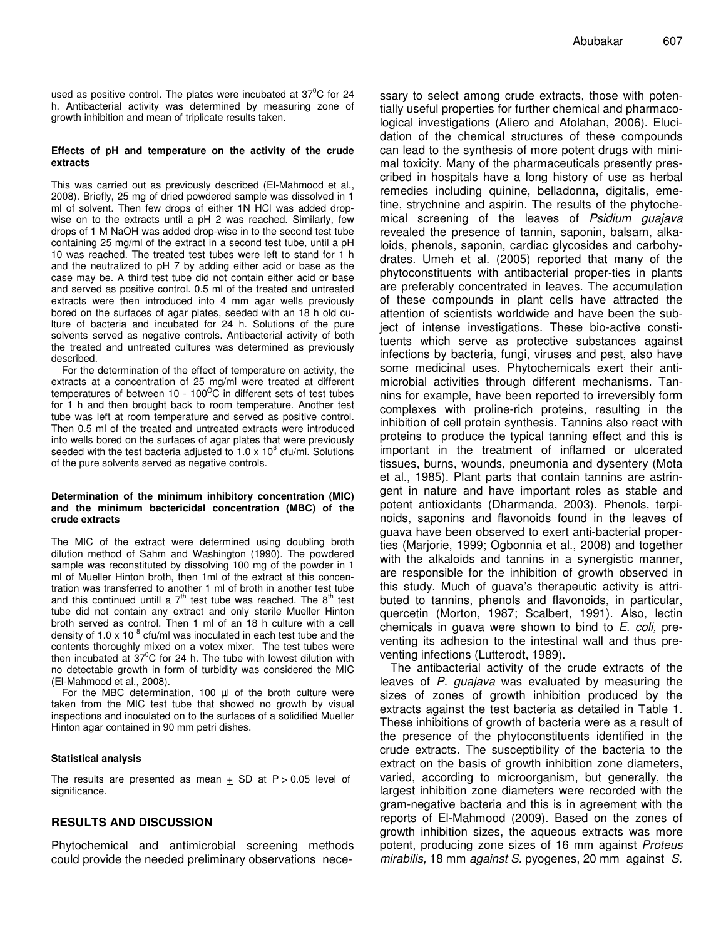used as positive control. The plates were incubated at  $37^0C$  for 24 h. Antibacterial activity was determined by measuring zone of growth inhibition and mean of triplicate results taken.

#### **Effects of pH and temperature on the activity of the crude extracts**

This was carried out as previously described (El-Mahmood et al., 2008). Briefly, 25 mg of dried powdered sample was dissolved in 1 ml of solvent. Then few drops of either 1N HCl was added dropwise on to the extracts until a pH 2 was reached. Similarly, few drops of 1 M NaOH was added drop-wise in to the second test tube containing 25 mg/ml of the extract in a second test tube, until a pH 10 was reached. The treated test tubes were left to stand for 1 h and the neutralized to pH 7 by adding either acid or base as the case may be. A third test tube did not contain either acid or base and served as positive control. 0.5 ml of the treated and untreated extracts were then introduced into 4 mm agar wells previously bored on the surfaces of agar plates, seeded with an 18 h old culture of bacteria and incubated for 24 h. Solutions of the pure solvents served as negative controls. Antibacterial activity of both the treated and untreated cultures was determined as previously described.

For the determination of the effect of temperature on activity, the extracts at a concentration of 25 mg/ml were treated at different temperatures of between 10 - 100 $^{\circ}$ C in different sets of test tubes for 1 h and then brought back to room temperature. Another test tube was left at room temperature and served as positive control. Then 0.5 ml of the treated and untreated extracts were introduced into wells bored on the surfaces of agar plates that were previously seeded with the test bacteria adjusted to 1.0 x 10 $^8$  cfu/ml. Solutions of the pure solvents served as negative controls.

#### **Determination of the minimum inhibitory concentration (MIC) and the minimum bactericidal concentration (MBC) of the crude extracts**

The MIC of the extract were determined using doubling broth dilution method of Sahm and Washington (1990). The powdered sample was reconstituted by dissolving 100 mg of the powder in 1 ml of Mueller Hinton broth, then 1ml of the extract at this concentration was transferred to another 1 ml of broth in another test tube and this continued untill a  $7<sup>th</sup>$  test tube was reached. The  $8<sup>th</sup>$  test tube did not contain any extract and only sterile Mueller Hinton broth served as control. Then 1 ml of an 18 h culture with a cell density of 1.0 x 10  $^8$  cfu/ml was inoculated in each test tube and the contents thoroughly mixed on a votex mixer. The test tubes were then incubated at 37 <sup>0</sup>C for 24 h. The tube with lowest dilution with no detectable growth in form of turbidity was considered the MIC (El-Mahmood et al., 2008).

For the MBC determination, 100 µl of the broth culture were taken from the MIC test tube that showed no growth by visual inspections and inoculated on to the surfaces of a solidified Mueller Hinton agar contained in 90 mm petri dishes.

#### **Statistical analysis**

The results are presented as mean  $\pm$  SD at P > 0.05 level of significance.

# **RESULTS AND DISCUSSION**

Phytochemical and antimicrobial screening methods could provide the needed preliminary observations nece-

ssary to select among crude extracts, those with potentially useful properties for further chemical and pharmacological investigations (Aliero and Afolahan, 2006). Elucidation of the chemical structures of these compounds can lead to the synthesis of more potent drugs with minimal toxicity. Many of the pharmaceuticals presently prescribed in hospitals have a long history of use as herbal remedies including quinine, belladonna, digitalis, emetine, strychnine and aspirin. The results of the phytochemical screening of the leaves of *Psidium guajava* revealed the presence of tannin, saponin, balsam, alkaloids, phenols, saponin, cardiac glycosides and carbohydrates. Umeh et al. (2005) reported that many of the phytoconstituents with antibacterial proper-ties in plants are preferably concentrated in leaves. The accumulation of these compounds in plant cells have attracted the attention of scientists worldwide and have been the subject of intense investigations. These bio-active constituents which serve as protective substances against infections by bacteria, fungi, viruses and pest, also have some medicinal uses. Phytochemicals exert their antimicrobial activities through different mechanisms. Tannins for example, have been reported to irreversibly form complexes with proline-rich proteins, resulting in the inhibition of cell protein synthesis. Tannins also react with proteins to produce the typical tanning effect and this is important in the treatment of inflamed or ulcerated tissues, burns, wounds, pneumonia and dysentery (Mota et al., 1985). Plant parts that contain tannins are astringent in nature and have important roles as stable and potent antioxidants (Dharmanda, 2003). Phenols, terpinoids, saponins and flavonoids found in the leaves of guava have been observed to exert anti-bacterial properties (Marjorie, 1999; Ogbonnia et al., 2008) and together with the alkaloids and tannins in a synergistic manner, are responsible for the inhibition of growth observed in this study. Much of guava's therapeutic activity is attributed to tannins, phenols and flavonoids, in particular, quercetin (Morton, 1987; Scalbert, 1991). Also, lectin chemicals in guava were shown to bind to *E. coli,* preventing its adhesion to the intestinal wall and thus preventing infections (Lutterodt, 1989).

The antibacterial activity of the crude extracts of the leaves of *P. guajava* was evaluated by measuring the sizes of zones of growth inhibition produced by the extracts against the test bacteria as detailed in Table 1. These inhibitions of growth of bacteria were as a result of the presence of the phytoconstituents identified in the crude extracts. The susceptibility of the bacteria to the extract on the basis of growth inhibition zone diameters, varied, according to microorganism, but generally, the largest inhibition zone diameters were recorded with the gram-negative bacteria and this is in agreement with the reports of El-Mahmood (2009). Based on the zones of growth inhibition sizes, the aqueous extracts was more potent, producing zone sizes of 16 mm against *Proteus mirabilis,* 18 mm *against S.* pyogenes, 20 mm against *S.*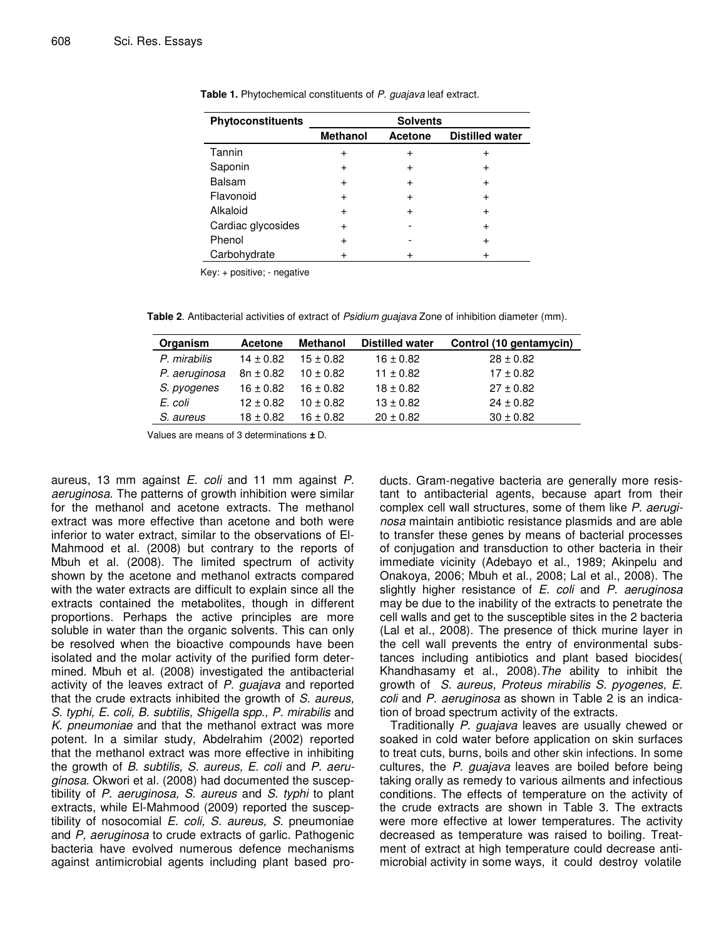| Phytoconstituents  | <b>Solvents</b> |                |                        |  |  |  |
|--------------------|-----------------|----------------|------------------------|--|--|--|
|                    | <b>Methanol</b> | <b>Acetone</b> | <b>Distilled water</b> |  |  |  |
| Tannin             | $\ddot{}$       | $\,{}^+$       |                        |  |  |  |
| Saponin            | $\ddot{}$       |                |                        |  |  |  |
| <b>Balsam</b>      | $\ddot{}$       |                | +                      |  |  |  |
| Flavonoid          | $\ddot{}$       | $\ddot{}$      |                        |  |  |  |
| Alkaloid           | +               |                |                        |  |  |  |
| Cardiac glycosides | $\ddot{}$       |                | $\ddot{}$              |  |  |  |
| Phenol             | $\pm$           |                |                        |  |  |  |
| Carbohydrate       |                 |                |                        |  |  |  |

**Table 1.** Phytochemical constituents of *P. guajava* leaf extract.

Key: + positive; - negative

**Table 2**. Antibacterial activities of extract of *Psidium guajava* Zone of inhibition diameter (mm).

| Organism      | <b>Acetone</b> | <b>Methanol</b> | <b>Distilled water</b> | Control (10 gentamycin) |
|---------------|----------------|-----------------|------------------------|-------------------------|
| P. mirabilis  | $14 \pm 0.82$  | $15 \pm 0.82$   | $16 \pm 0.82$          | $28 \pm 0.82$           |
| P. aeruginosa | $8n \pm 0.82$  | $10 \pm 0.82$   | $11 \pm 0.82$          | $17 \pm 0.82$           |
| S. pyogenes   | $16 \pm 0.82$  | $16 \pm 0.82$   | $18 \pm 0.82$          | $27 \pm 0.82$           |
| E. coli       | $12 \pm 0.82$  | $10 \pm 0.82$   | $13 \pm 0.82$          | $24 \pm 0.82$           |
| S. aureus     | $18 \pm 0.82$  | $16 \pm 0.82$   | $20 \pm 0.82$          | $30 \pm 0.82$           |

Values are means of 3 determinations **±** D.

aureus, 13 mm against *E. coli* and 11 mm against *P. aeruginosa*. The patterns of growth inhibition were similar for the methanol and acetone extracts. The methanol extract was more effective than acetone and both were inferior to water extract, similar to the observations of El-Mahmood et al. (2008) but contrary to the reports of Mbuh et al*.* (2008). The limited spectrum of activity shown by the acetone and methanol extracts compared with the water extracts are difficult to explain since all the extracts contained the metabolites, though in different proportions. Perhaps the active principles are more soluble in water than the organic solvents. This can only be resolved when the bioactive compounds have been isolated and the molar activity of the purified form determined. Mbuh et al. (2008) investigated the antibacterial activity of the leaves extract of *P. guajava* and reported that the crude extracts inhibited the growth of *S. aureus, S. typhi, E. coli, B. subtilis, Shigella spp., P. mirabilis* and *K. pneumoniae* and that the methanol extract was more potent. In a similar study, Abdelrahim (2002) reported that the methanol extract was more effective in inhibiting the growth of *B. subtilis, S. aureus, E. coli* and *P. aeruginosa.* Okwori et al*.* (2008) had documented the susceptibility of *P. aeruginosa, S. aureus* and *S. typhi* to plant extracts, while El-Mahmood (2009) reported the susceptibility of nosocomial *E. coli, S. aureus, S.* pneumoniae and *P, aeruginosa* to crude extracts of garlic. Pathogenic bacteria have evolved numerous defence mechanisms against antimicrobial agents including plant based products. Gram-negative bacteria are generally more resistant to antibacterial agents, because apart from their complex cell wall structures, some of them like *P. aeruginosa* maintain antibiotic resistance plasmids and are able to transfer these genes by means of bacterial processes of conjugation and transduction to other bacteria in their immediate vicinity (Adebayo et al., 1989; Akinpelu and Onakoya, 2006; Mbuh et al., 2008; Lal et al., 2008). The slightly higher resistance of *E. coli* and *P. aeruginosa* may be due to the inability of the extracts to penetrate the cell walls and get to the susceptible sites in the 2 bacteria (Lal et al., 2008). The presence of thick murine layer in the cell wall prevents the entry of environmental substances including antibiotics and plant based biocides( Khandhasamy et al., 2008).*The* ability to inhibit the growth of *S. aureus, Proteus mirabilis S. pyogenes, E. coli* and *P. aeruginosa* as shown in Table 2 is an indication of broad spectrum activity of the extracts.

Traditionally *P. guajava* leaves are usually chewed or soaked in cold water before application on skin surfaces to treat cuts, burns, boils and other skin infections. In some cultures, the *P. guajava* leaves are boiled before being taking orally as remedy to various ailments and infectious conditions. The effects of temperature on the activity of the crude extracts are shown in Table 3. The extracts were more effective at lower temperatures. The activity decreased as temperature was raised to boiling. Treatment of extract at high temperature could decrease antimicrobial activity in some ways, it could destroy volatile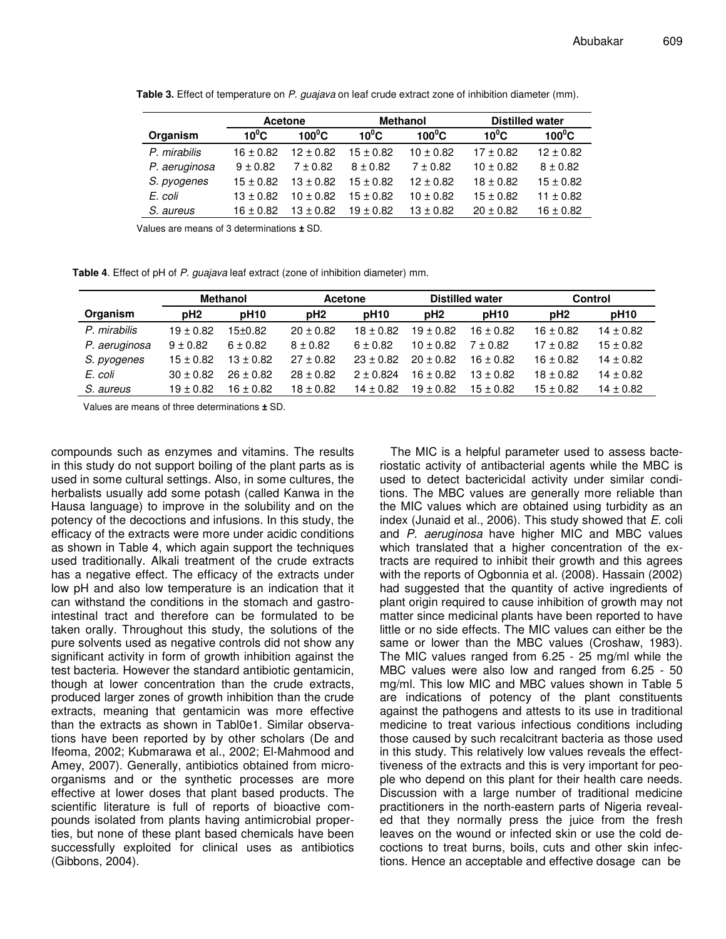|               | Acetone       |               |               | <b>Methanol</b> | <b>Distilled water</b> |               |
|---------------|---------------|---------------|---------------|-----------------|------------------------|---------------|
| Organism      | $10^0C$       | $100^0C$      | $10^0C$       | $100^0C$        | $10^0C$                | $100^0C$      |
| P. mirabilis  | $16 \pm 0.82$ | $12 \pm 0.82$ | $15 \pm 0.82$ | $10 \pm 0.82$   | $17 \pm 0.82$          | $12 \pm 0.82$ |
| P. aeruginosa | $9 \pm 0.82$  | $7 \pm 0.82$  | $8 \pm 0.82$  | $7 \pm 0.82$    | $10 \pm 0.82$          | $8 + 0.82$    |
| S. pyogenes   | $15 \pm 0.82$ | $13 \pm 0.82$ | $15 \pm 0.82$ | $12 \pm 0.82$   | $18 \pm 0.82$          | $15 \pm 0.82$ |
| E. coli       | $13 \pm 0.82$ | $10 \pm 0.82$ | $15 \pm 0.82$ | $10 \pm 0.82$   | $15 \pm 0.82$          | $11 \pm 0.82$ |
| S. aureus     | 16 ± 0.82     | $13 \pm 0.82$ | $19 \pm 0.82$ | $13 \pm 0.82$   | $20 \pm 0.82$          | $16 \pm 0.82$ |

**Table 3.** Effect of temperature on *P. guajava* on leaf crude extract zone of inhibition diameter (mm).

Values are means of 3 determinations **±** SD.

**Table 4**. Effect of pH of *P. guajava* leaf extract (zone of inhibition diameter) mm.

|               | <b>Methanol</b> |               | Acetone         |                  | <b>Distilled water</b> |                  | <b>Control</b>  |                  |
|---------------|-----------------|---------------|-----------------|------------------|------------------------|------------------|-----------------|------------------|
| Organism      | pH <sub>2</sub> | <b>pH10</b>   | pH <sub>2</sub> | pH <sub>10</sub> | pH <sub>2</sub>        | pH <sub>10</sub> | pH <sub>2</sub> | pH <sub>10</sub> |
| P. mirabilis  | $19 \pm 0.82$   | 15±0.82       | $20 \pm 0.82$   | $18 \pm 0.82$    | $19 \pm 0.82$          | $16 \pm 0.82$    | $16 \pm 0.82$   | $14 \pm 0.82$    |
| P. aeruginosa | $9 \pm 0.82$    | $6 \pm 0.82$  | $8 \pm 0.82$    | $6 \pm 0.82$     | $10 \pm 0.82$          | $7 \pm 0.82$     | $17 \pm 0.82$   | $15 \pm 0.82$    |
| S. pyogenes   | $15 \pm 0.82$   | $13 \pm 0.82$ | $27 \pm 0.82$   | $23 \pm 0.82$    | $20 \pm 0.82$          | $16 \pm 0.82$    | $16 \pm 0.82$   | $14 \pm 0.82$    |
| E. coli       | $30 \pm 0.82$   | $26 \pm 0.82$ | $28 \pm 0.82$   | $2 + 0.824$      | $16 \pm 0.82$          | $13 + 0.82$      | $18 \pm 0.82$   | $14 \pm 0.82$    |
| S. aureus     | $19 \pm 0.82$   | $16 \pm 0.82$ | $18 \pm 0.82$   | $14 \pm 0.82$    | $19 \pm 0.82$          | $15 \pm 0.82$    | $15 \pm 0.82$   | $14 \pm 0.82$    |

Values are means of three determinations **±** SD.

compounds such as enzymes and vitamins. The results in this study do not support boiling of the plant parts as is used in some cultural settings. Also, in some cultures, the herbalists usually add some potash (called Kanwa in the Hausa language) to improve in the solubility and on the potency of the decoctions and infusions. In this study, the efficacy of the extracts were more under acidic conditions as shown in Table 4, which again support the techniques used traditionally. Alkali treatment of the crude extracts has a negative effect. The efficacy of the extracts under low pH and also low temperature is an indication that it can withstand the conditions in the stomach and gastrointestinal tract and therefore can be formulated to be taken orally. Throughout this study, the solutions of the pure solvents used as negative controls did not show any significant activity in form of growth inhibition against the test bacteria. However the standard antibiotic gentamicin, though at lower concentration than the crude extracts, produced larger zones of growth inhibition than the crude extracts, meaning that gentamicin was more effective than the extracts as shown in Tabl0e1. Similar observations have been reported by by other scholars (De and Ifeoma, 2002; Kubmarawa et al., 2002; El-Mahmood and Amey, 2007). Generally, antibiotics obtained from microorganisms and or the synthetic processes are more effective at lower doses that plant based products. The scientific literature is full of reports of bioactive compounds isolated from plants having antimicrobial properties, but none of these plant based chemicals have been successfully exploited for clinical uses as antibiotics (Gibbons, 2004).

The MIC is a helpful parameter used to assess bacteriostatic activity of antibacterial agents while the MBC is used to detect bactericidal activity under similar conditions. The MBC values are generally more reliable than the MIC values which are obtained using turbidity as an index (Junaid et al., 2006). This study showed that *E.* coli and *P. aeruginosa* have higher MIC and MBC values which translated that a higher concentration of the extracts are required to inhibit their growth and this agrees with the reports of Ogbonnia et al*.* (2008). Hassain (2002) had suggested that the quantity of active ingredients of plant origin required to cause inhibition of growth may not matter since medicinal plants have been reported to have little or no side effects. The MIC values can either be the same or lower than the MBC values (Croshaw, 1983). The MIC values ranged from 6.25 - 25 mg/ml while the MBC values were also low and ranged from 6.25 - 50 mg/ml. This low MIC and MBC values shown in Table 5 are indications of potency of the plant constituents against the pathogens and attests to its use in traditional medicine to treat various infectious conditions including those caused by such recalcitrant bacteria as those used in this study. This relatively low values reveals the effecttiveness of the extracts and this is very important for people who depend on this plant for their health care needs. Discussion with a large number of traditional medicine practitioners in the north-eastern parts of Nigeria revealed that they normally press the juice from the fresh leaves on the wound or infected skin or use the cold decoctions to treat burns, boils, cuts and other skin infections. Hence an acceptable and effective dosage can be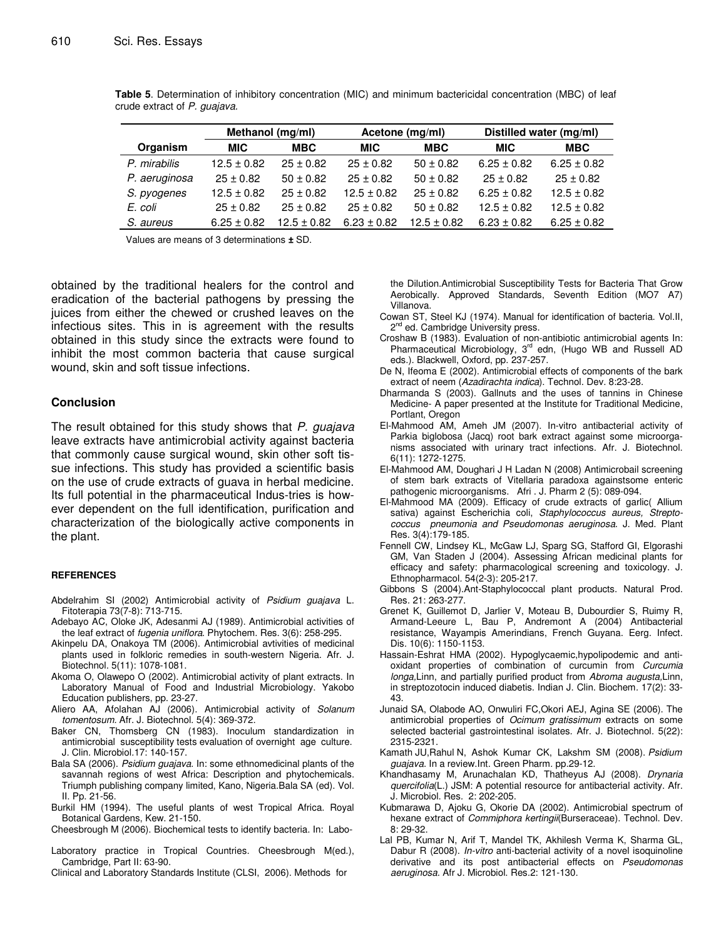|               | Methanol (mg/ml) |                 | Acetone (mg/ml) |                 | Distilled water (mg/ml) |                 |
|---------------|------------------|-----------------|-----------------|-----------------|-------------------------|-----------------|
| Organism      | <b>MIC</b>       | <b>MBC</b>      | <b>MIC</b>      | <b>MBC</b>      | <b>MIC</b>              | <b>MBC</b>      |
| P. mirabilis  | $12.5 \pm 0.82$  | $25 \pm 0.82$   | $25 \pm 0.82$   | $50 \pm 0.82$   | $6.25 \pm 0.82$         | $6.25 \pm 0.82$ |
| P. aeruginosa | $25 \pm 0.82$    | $50 \pm 0.82$   | $25 \pm 0.82$   | $50 \pm 0.82$   | $25 \pm 0.82$           | $25 \pm 0.82$   |
| S. pyogenes   | $12.5 \pm 0.82$  | $25 \pm 0.82$   | $12.5 \pm 0.82$ | $25 \pm 0.82$   | $6.25 \pm 0.82$         | $12.5 \pm 0.82$ |
| E. coli       | $25 \pm 0.82$    | $25 \pm 0.82$   | $25 + 0.82$     | $50 \pm 0.82$   | $12.5 \pm 0.82$         | $12.5 \pm 0.82$ |
| S. aureus     | $6.25 \pm 0.82$  | $12.5 \pm 0.82$ | $6.23 \pm 0.82$ | $12.5 \pm 0.82$ | $6.23 \pm 0.82$         | $6.25 \pm 0.82$ |

**Table 5**. Determination of inhibitory concentration (MIC) and minimum bactericidal concentration (MBC) of leaf crude extract of *P. guajava.*

Values are means of 3 determinations **±** SD.

obtained by the traditional healers for the control and eradication of the bacterial pathogens by pressing the juices from either the chewed or crushed leaves on the infectious sites. This in is agreement with the results obtained in this study since the extracts were found to inhibit the most common bacteria that cause surgical wound, skin and soft tissue infections.

#### **Conclusion**

The result obtained for this study shows that *P. guajava* leave extracts have antimicrobial activity against bacteria that commonly cause surgical wound, skin other soft tissue infections. This study has provided a scientific basis on the use of crude extracts of guava in herbal medicine. Its full potential in the pharmaceutical Indus-tries is however dependent on the full identification, purification and characterization of the biologically active components in the plant.

#### **REFERENCES**

- Abdelrahim SI (2002) Antimicrobial activity of *Psidium guajava* L. Fitoterapia 73(7-8): 713-715.
- Adebayo AC, Oloke JK, Adesanmi AJ (1989). Antimicrobial activities of the leaf extract of *fugenia uniflora*. Phytochem. Res. 3(6): 258-295.
- Akinpelu DA, Onakoya TM (2006). Antimicrobial avtivities of medicinal plants used in folkloric remedies in south-western Nigeria. Afr. J. Biotechnol. 5(11): 1078-1081.
- Akoma O, Olawepo O (2002). Antimicrobial activity of plant extracts. In Laboratory Manual of Food and Industrial Microbiology. Yakobo Education publishers, pp. 23-27.
- Aliero AA, Afolahan AJ (2006). Antimicrobial activity of *Solanum tomentosum.* Afr. J. Biotechnol*.* 5(4): 369-372.
- Baker CN, Thomsberg CN (1983). Inoculum standardization in antimicrobial susceptibility tests evaluation of overnight age culture. J. Clin. Microbiol*.*17: 140-157.
- Bala SA (2006). *Psidium guajava.* In: some ethnomedicinal plants of the savannah regions of west Africa: Description and phytochemicals. Triumph publishing company limited, Kano, Nigeria.Bala SA (ed). Vol. II. Pp. 21-56.
- Burkil HM (1994). The useful plants of west Tropical Africa. Royal Botanical Gardens, Kew. 21-150.

Cheesbrough M (2006). Biochemical tests to identify bacteria. In: Labo-

Laboratory practice in Tropical Countries. Cheesbrough M(ed.), Cambridge, Part II: 63-90.

Clinical and Laboratory Standards Institute (CLSI, 2006). Methods for

the Dilution.Antimicrobial Susceptibility Tests for Bacteria That Grow Aerobically. Approved Standards, Seventh Edition (MO7 A7) Villanova.

- Cowan ST, Steel KJ (1974). Manual for identification of bacteria. Vol.II, 2<sup>nd</sup> ed. Cambridge University press.
- Croshaw B (1983). Evaluation of non-antibiotic antimicrobial agents In: Pharmaceutical Microbiology, 3<sup>rd</sup> edn, (Hugo WB and Russell AD eds.). Blackwell, Oxford, pp. 237-257.
- De N, Ifeoma E (2002). Antimicrobial effects of components of the bark extract of neem (*Azadirachta indica*). Technol. Dev. 8:23-28.
- Dharmanda S (2003). Gallnuts and the uses of tannins in Chinese Medicine- A paper presented at the Institute for Traditional Medicine, Portlant, Oregon
- El-Mahmood AM, Ameh JM (2007). In-vitro antibacterial activity of Parkia biglobosa (Jacq) root bark extract against some microorganisms associated with urinary tract infections. Afr. J. Biotechnol. 6(11): 1272-1275.
- El-Mahmood AM, Doughari J H Ladan N (2008) Antimicrobail screening of stem bark extracts of Vitellaria paradoxa againstsome enteric pathogenic microorganisms. Afri . J. Pharm 2 (5): 089-094.
- El-Mahmood MA (2009). Efficacy of crude extracts of garlic( Allium sativa) against Escherichia coli, *Staphylococcus aureus, Streptococcus pneumonia and Pseudomonas aeruginosa*. J. Med. Plant Res. 3(4):179-185.
- Fennell CW, Lindsey KL, McGaw LJ, Sparg SG, Stafford GI, Elgorashi GM, Van Staden J (2004). Assessing African medicinal plants for efficacy and safety: pharmacological screening and toxicology. J. Ethnopharmacol*.* 54(2-3): 205-217.
- Gibbons S (2004).Ant-Staphylococcal plant products. Natural Prod. Res*.* 21: 263-277.
- Grenet K, Guillemot D, Jarlier V, Moteau B, Dubourdier S, Ruimy R, Armand-Leeure L, Bau P, Andremont A (2004) Antibacterial resistance, Wayampis Amerindians, French Guyana. Eerg. Infect. Dis*.* 10(6): 1150-1153.
- Hassain-Eshrat HMA (2002). Hypoglycaemic,hypolipodemic and antioxidant properties of combination of curcumin from *Curcumia longa,*Linn, and partially purified product from *Abroma augusta,*Linn, in streptozotocin induced diabetis. Indian J. Clin. Biochem*.* 17(2): 33- 43.
- Junaid SA, Olabode AO, Onwuliri FC,Okori AEJ, Agina SE (2006). The antimicrobial properties of *Ocimum gratissimum* extracts on some selected bacterial gastrointestinal isolates. Afr. J. Biotechnol*.* 5(22): 2315-2321.
- Kamath JU,Rahul N, Ashok Kumar CK, Lakshm SM (2008). *Psidium guajava*. In a review.Int. Green Pharm*.* pp*.*29-12.
- Khandhasamy M, Arunachalan KD, Thatheyus AJ (2008). *Drynaria quercifolia*(L.) JSM: A potential resource for antibacterial activity. Afr. J. Microbiol. Res*.* 2: 202-205.
- Kubmarawa D, Ajoku G, Okorie DA (2002). Antimicrobial spectrum of hexane extract of *Commiphora kertingii*(Burseraceae). Technol. Dev*.* 8: 29-32.
- Lal PB, Kumar N, Arif T, Mandel TK, Akhilesh Verma K, Sharma GL, Dabur R (2008). *In-vitro* anti-bacterial activity of a novel isoquinoline derivative and its post antibacterial effects on *Pseudomonas aeruginosa*. Afr J. Microbiol. Res*.*2: 121-130.